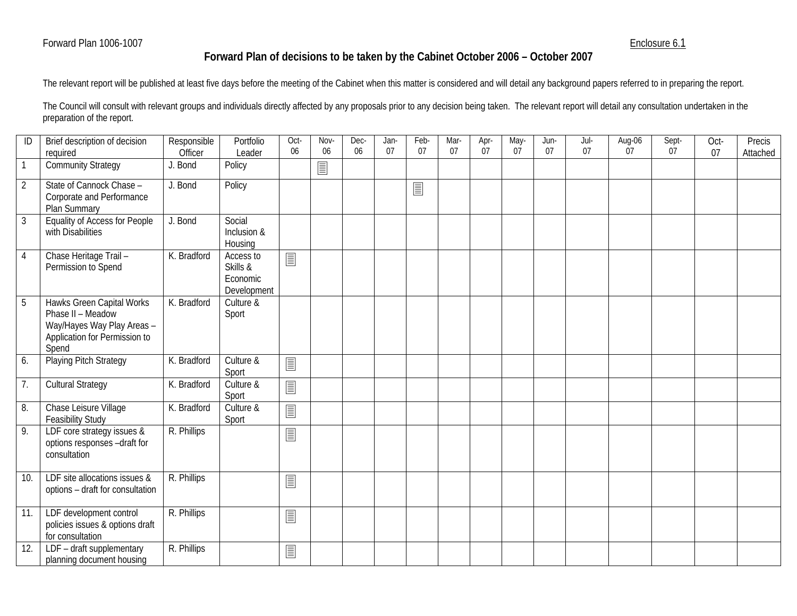## Enclosure 6.1

## **Forward Plan of decisions to be taken by the Cabinet October 2006 – October 2007**

The relevant report will be published at least five days before the meeting of the Cabinet when this matter is considered and will detail any background papers referred to in preparing the report.

The Council will consult with relevant groups and individuals directly affected by any proposals prior to any decision being taken. The relevant report will detail any consultation undertaken in the preparation of the report.

| ID             | Brief description of decision<br>required                                                                              | Responsible<br>Officer | Portfolio<br>Leader                              | Oct-<br>06 | Nov-<br>06 | Dec-<br>06 | Jan-<br>07 | Feb-<br>07 | Mar-<br>07 | Apr-<br>07 | May-<br>07 | Jun-<br>07 | Jul-<br>07 | Aug-06<br>07 | Sept-<br>07 | Oct-<br>07 | Precis<br>Attached |
|----------------|------------------------------------------------------------------------------------------------------------------------|------------------------|--------------------------------------------------|------------|------------|------------|------------|------------|------------|------------|------------|------------|------------|--------------|-------------|------------|--------------------|
| $\overline{1}$ | <b>Community Strategy</b>                                                                                              | J. Bond                | Policy                                           |            | 圁          |            |            |            |            |            |            |            |            |              |             |            |                    |
| $\overline{2}$ | State of Cannock Chase -<br>Corporate and Performance<br>Plan Summary                                                  | J. Bond                | Policy                                           |            |            |            |            | E          |            |            |            |            |            |              |             |            |                    |
| $\mathfrak{Z}$ | <b>Equality of Access for People</b><br>with Disabilities                                                              | J. Bond                | Social<br>Inclusion &<br>Housing                 |            |            |            |            |            |            |            |            |            |            |              |             |            |                    |
| 4              | Chase Heritage Trail-<br>Permission to Spend                                                                           | K. Bradford            | Access to<br>Skills &<br>Economic<br>Development | 圁          |            |            |            |            |            |            |            |            |            |              |             |            |                    |
| 5              | Hawks Green Capital Works<br>Phase II - Meadow<br>Way/Hayes Way Play Areas -<br>Application for Permission to<br>Spend | K. Bradford            | Culture &<br>Sport                               |            |            |            |            |            |            |            |            |            |            |              |             |            |                    |
| 6.             | <b>Playing Pitch Strategy</b>                                                                                          | K. Bradford            | Culture &<br>Sport                               | 圁          |            |            |            |            |            |            |            |            |            |              |             |            |                    |
| 7.             | <b>Cultural Strategy</b>                                                                                               | K. Bradford            | Culture &<br>Sport                               | 圁          |            |            |            |            |            |            |            |            |            |              |             |            |                    |
| 8.             | Chase Leisure Village<br><b>Feasibility Study</b>                                                                      | K. Bradford            | Culture &<br>Sport                               | 冒          |            |            |            |            |            |            |            |            |            |              |             |            |                    |
| 9.             | LDF core strategy issues &<br>options responses -draft for<br>consultation                                             | R. Phillips            |                                                  | 圁          |            |            |            |            |            |            |            |            |            |              |             |            |                    |
| 10.            | LDF site allocations issues &<br>options - draft for consultation                                                      | R. Phillips            |                                                  | 圁          |            |            |            |            |            |            |            |            |            |              |             |            |                    |
| 11.            | LDF development control<br>policies issues & options draft<br>for consultation                                         | R. Phillips            |                                                  | 圁          |            |            |            |            |            |            |            |            |            |              |             |            |                    |
| 12.            | LDF - draft supplementary<br>planning document housing                                                                 | R. Phillips            |                                                  | 圁          |            |            |            |            |            |            |            |            |            |              |             |            |                    |